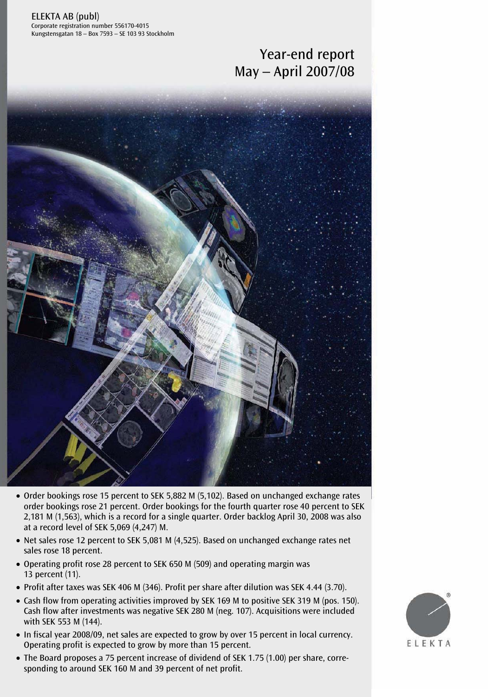ELEKTA AB (publ) Corporate registration number 556170-4015 Kungstensgatan 18 – Box 7593 – SE 103 93 Stockholm

# Year-end report May – April 2007/08



- Order bookings rose 15 percent to SEK 5,882 M (5,102). Based on unchanged exchange rates order bookings rose 21 percent. Order bookings for the fourth quarter rose 40 percent to SEK 2,181 M (1,563), which is a record for a single quarter. Order backlog April 30, 2008 was also at a record level of SEK 5,069 (4,247) M.
- Net sales rose 12 percent to SEK 5,081 M (4,525). Based on unchanged exchange rates net sales rose 18 percent.
- Operating profit rose 28 percent to SEK 650 M (509) and operating margin was 13 percent (11).
- Profit after taxes was SEK 406 M (346). Profit per share after dilution was SEK 4.44 (3.70).
- Cash flow from operating activities improved by SEK 169 M to positive SEK 319 M (pos. 150). Cash flow after investments was negative SEK 280 M (neg. 107). Acquisitions were included with SEK 553 M (144).
- In fiscal year 2008/09, net sales are expected to grow by over 15 percent in local currency. Operating profit is expected to grow by more than 15 percent.
- The Board proposes a 75 percent increase of dividend of SEK 1.75 (1.00) per share, corre-<br>coording to avound SEK 1.00 M and 20 nevers to negative sponding to around SEK 160 M and 39 percent of net profit.

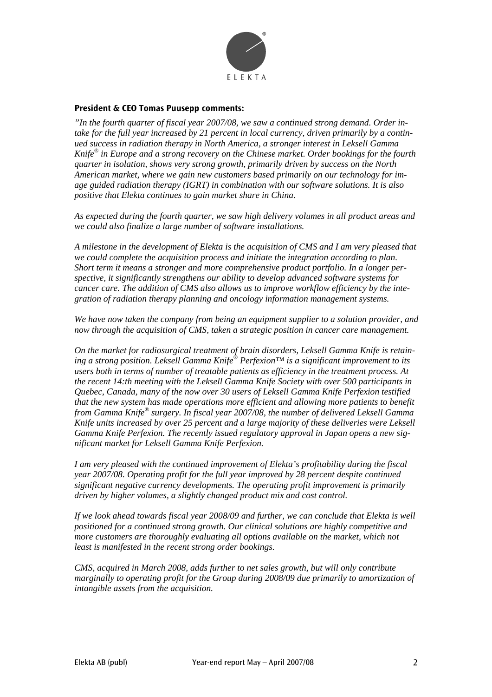

#### **President & CEO Tomas Puusepp comments:**

*"In the fourth quarter of fiscal year 2007/08, we saw a continued strong demand. Order intake for the full year increased by 21 percent in local currency, driven primarily by a continued success in radiation therapy in North America, a stronger interest in Leksell Gamma Knife® in Europe and a strong recovery on the Chinese market. Order bookings for the fourth quarter in isolation, shows very strong growth, primarily driven by success on the North American market, where we gain new customers based primarily on our technology for image guided radiation therapy (IGRT) in combination with our software solutions. It is also positive that Elekta continues to gain market share in China.* 

*As expected during the fourth quarter, we saw high delivery volumes in all product areas and we could also finalize a large number of software installations.* 

*A milestone in the development of Elekta is the acquisition of CMS and I am very pleased that we could complete the acquisition process and initiate the integration according to plan. Short term it means a stronger and more comprehensive product portfolio. In a longer perspective, it significantly strengthens our ability to develop advanced software systems for cancer care. The addition of CMS also allows us to improve workflow efficiency by the integration of radiation therapy planning and oncology information management systems.* 

*We have now taken the company from being an equipment supplier to a solution provider, and now through the acquisition of CMS, taken a strategic position in cancer care management.* 

*On the market for radiosurgical treatment of brain disorders, Leksell Gamma Knife is retaining a strong position. Leksell Gamma Knife® Perfexion™ is a significant improvement to its users both in terms of number of treatable patients as efficiency in the treatment process. At the recent 14:th meeting with the Leksell Gamma Knife Society with over 500 participants in Quebec, Canada, many of the now over 30 users of Leksell Gamma Knife Perfexion testified that the new system has made operations more efficient and allowing more patients to benefit from Gamma Knife® surgery. In fiscal year 2007/08, the number of delivered Leksell Gamma Knife units increased by over 25 percent and a large majority of these deliveries were Leksell Gamma Knife Perfexion. The recently issued regulatory approval in Japan opens a new significant market for Leksell Gamma Knife Perfexion.* 

*I am very pleased with the continued improvement of Elekta's profitability during the fiscal year 2007/08. Operating profit for the full year improved by 28 percent despite continued significant negative currency developments. The operating profit improvement is primarily driven by higher volumes, a slightly changed product mix and cost control.* 

*If we look ahead towards fiscal year 2008/09 and further, we can conclude that Elekta is well positioned for a continued strong growth. Our clinical solutions are highly competitive and more customers are thoroughly evaluating all options available on the market, which not least is manifested in the recent strong order bookings.* 

*CMS, acquired in March 2008, adds further to net sales growth, but will only contribute marginally to operating profit for the Group during 2008/09 due primarily to amortization of intangible assets from the acquisition.*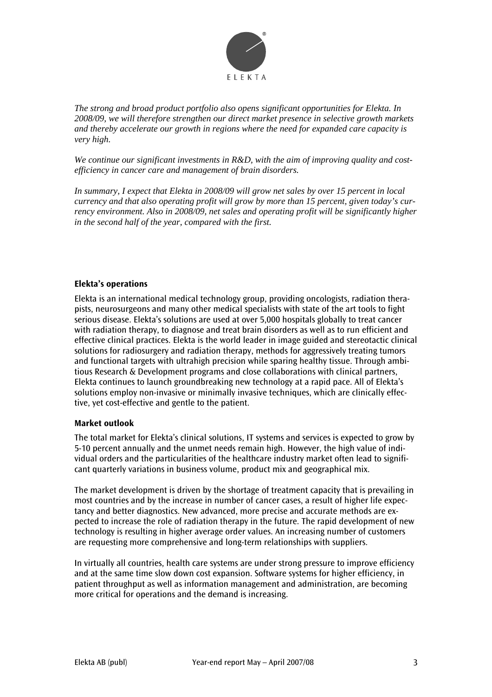

*The strong and broad product portfolio also opens significant opportunities for Elekta. In 2008/09, we will therefore strengthen our direct market presence in selective growth markets and thereby accelerate our growth in regions where the need for expanded care capacity is very high.* 

*We continue our significant investments in R&D, with the aim of improving quality and costefficiency in cancer care and management of brain disorders.* 

*In summary, I expect that Elekta in 2008/09 will grow net sales by over 15 percent in local currency and that also operating profit will grow by more than 15 percent, given today's currency environment. Also in 2008/09, net sales and operating profit will be significantly higher in the second half of the year, compared with the first.* 

#### **Elekta's operations**

Elekta is an international medical technology group, providing oncologists, radiation therapists, neurosurgeons and many other medical specialists with state of the art tools to fight serious disease. Elekta's solutions are used at over 5,000 hospitals globally to treat cancer with radiation therapy, to diagnose and treat brain disorders as well as to run efficient and effective clinical practices. Elekta is the world leader in image guided and stereotactic clinical solutions for radiosurgery and radiation therapy, methods for aggressively treating tumors and functional targets with ultrahigh precision while sparing healthy tissue. Through ambitious Research & Development programs and close collaborations with clinical partners, Elekta continues to launch groundbreaking new technology at a rapid pace. All of Elekta's solutions employ non-invasive or minimally invasive techniques, which are clinically effective, yet cost-effective and gentle to the patient.

#### **Market outlook**

The total market for Elekta's clinical solutions, IT systems and services is expected to grow by 5-10 percent annually and the unmet needs remain high. However, the high value of individual orders and the particularities of the healthcare industry market often lead to significant quarterly variations in business volume, product mix and geographical mix.

The market development is driven by the shortage of treatment capacity that is prevailing in most countries and by the increase in number of cancer cases, a result of higher life expectancy and better diagnostics. New advanced, more precise and accurate methods are expected to increase the role of radiation therapy in the future. The rapid development of new technology is resulting in higher average order values. An increasing number of customers are requesting more comprehensive and long-term relationships with suppliers.

In virtually all countries, health care systems are under strong pressure to improve efficiency and at the same time slow down cost expansion. Software systems for higher efficiency, in patient throughput as well as information management and administration, are becoming more critical for operations and the demand is increasing.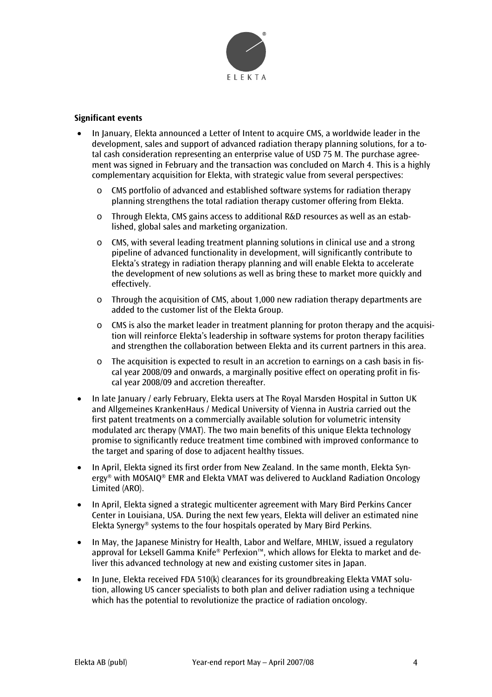

## **Significant events**

- In January, Elekta announced a Letter of Intent to acquire CMS, a worldwide leader in the development, sales and support of advanced radiation therapy planning solutions, for a total cash consideration representing an enterprise value of USD 75 M. The purchase agreement was signed in February and the transaction was concluded on March 4. This is a highly complementary acquisition for Elekta, with strategic value from several perspectives:
	- o CMS portfolio of advanced and established software systems for radiation therapy planning strengthens the total radiation therapy customer offering from Elekta.
	- $\circ$  Through Elekta, CMS gains access to additional R&D resources as well as an established, global sales and marketing organization.
	- $\circ$  CMS, with several leading treatment planning solutions in clinical use and a strong pipeline of advanced functionality in development, will significantly contribute to Elekta's strategy in radiation therapy planning and will enable Elekta to accelerate the development of new solutions as well as bring these to market more quickly and effectively.
	- o Through the acquisition of CMS, about 1,000 new radiation therapy departments are added to the customer list of the Elekta Group.
	- $\circ$  CMS is also the market leader in treatment planning for proton therapy and the acquisition will reinforce Elekta's leadership in software systems for proton therapy facilities and strengthen the collaboration between Elekta and its current partners in this area.
	- $\circ$  The acquisition is expected to result in an accretion to earnings on a cash basis in fiscal year 2008/09 and onwards, a marginally positive effect on operating profit in fiscal year 2008/09 and accretion thereafter.
- In late January / early February, Elekta users at The Royal Marsden Hospital in Sutton UK and Allgemeines KrankenHaus / Medical University of Vienna in Austria carried out the first patent treatments on a commercially available solution for volumetric intensity modulated arc therapy (VMAT). The two main benefits of this unique Elekta technology promise to significantly reduce treatment time combined with improved conformance to the target and sparing of dose to adjacent healthy tissues.
- In April, Elekta signed its first order from New Zealand. In the same month, Elekta Synergy® with MOSAIQ® EMR and Elekta VMAT was delivered to Auckland Radiation Oncology Limited (ARO).
- In April, Elekta signed a strategic multicenter agreement with Mary Bird Perkins Cancer Center in Louisiana, USA. During the next few years, Elekta will deliver an estimated nine Elekta Synergy® systems to the four hospitals operated by Mary Bird Perkins.
- In May, the Japanese Ministry for Health, Labor and Welfare, MHLW, issued a regulatory approval for Leksell Gamma Knife® Perfexion™, which allows for Elekta to market and deliver this advanced technology at new and existing customer sites in Japan.
- In June, Elekta received FDA 510(k) clearances for its groundbreaking Elekta VMAT solution, allowing US cancer specialists to both plan and deliver radiation using a technique which has the potential to revolutionize the practice of radiation oncology.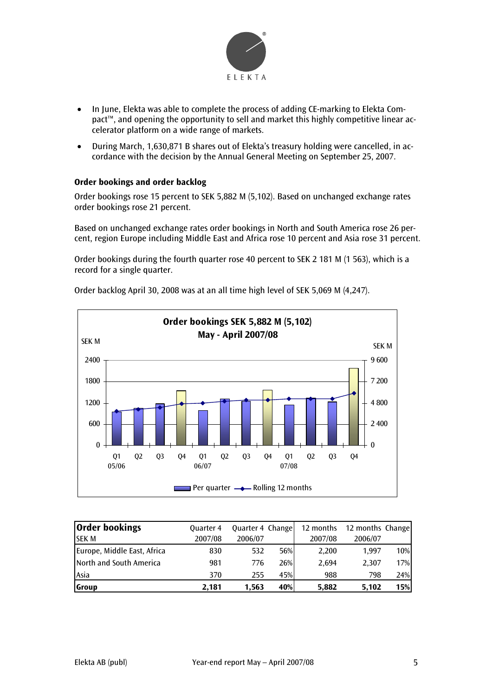

- In June, Elekta was able to complete the process of adding CE-marking to Elekta Compact™, and opening the opportunity to sell and market this highly competitive linear accelerator platform on a wide range of markets.
- During March, 1,630,871 B shares out of Elekta's treasury holding were cancelled, in accordance with the decision by the Annual General Meeting on September 25, 2007.

## **Order bookings and order backlog**

Order bookings rose 15 percent to SEK 5,882 M (5,102). Based on unchanged exchange rates order bookings rose 21 percent.

Based on unchanged exchange rates order bookings in North and South America rose 26 percent, region Europe including Middle East and Africa rose 10 percent and Asia rose 31 percent.

Order bookings during the fourth quarter rose 40 percent to SEK 2 181 M (1 563), which is a record for a single quarter.



Order backlog April 30, 2008 was at an all time high level of SEK 5,069 M (4,247).

| <b>Order bookings</b>       | <b>Quarter 4</b> | Quarter 4 Change |     | 12 months | 12 months Change |     |
|-----------------------------|------------------|------------------|-----|-----------|------------------|-----|
| <b>ISEK M</b>               | 2007/08          | 2006/07          |     | 2007/08   | 2006/07          |     |
| Europe, Middle East, Africa | 830              | 532              | 56% | 2.200     | 1.997            | 10% |
| North and South America     | 981              | 776              | 26% | 2.694     | 2.307            | 17% |
| <b>L</b> Asia               | 370              | 255              | 45% | 988       | 798              | 24% |
| <b>S</b> roup               | 2.181            | 1,563            | 40% | 5.882     | 5.102            | 15% |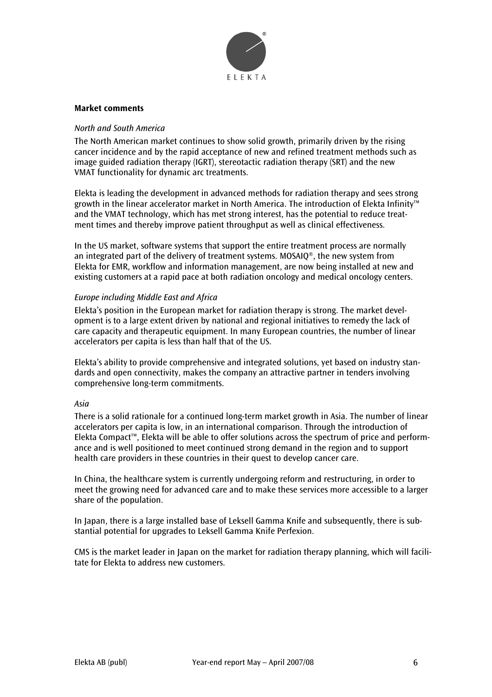

#### **Market comments**

#### *North and South America*

The North American market continues to show solid growth, primarily driven by the rising cancer incidence and by the rapid acceptance of new and refined treatment methods such as image guided radiation therapy (IGRT), stereotactic radiation therapy (SRT) and the new VMAT functionality for dynamic arc treatments.

Elekta is leading the development in advanced methods for radiation therapy and sees strong growth in the linear accelerator market in North America. The introduction of Elekta Infinity™ and the VMAT technology, which has met strong interest, has the potential to reduce treatment times and thereby improve patient throughput as well as clinical effectiveness.

In the US market, software systems that support the entire treatment process are normally an integrated part of the delivery of treatment systems. MOSAIQ®, the new system from Elekta for EMR, workflow and information management, are now being installed at new and existing customers at a rapid pace at both radiation oncology and medical oncology centers.

#### *Europe including Middle East and Africa*

Elekta's position in the European market for radiation therapy is strong. The market development is to a large extent driven by national and regional initiatives to remedy the lack of care capacity and therapeutic equipment. In many European countries, the number of linear accelerators per capita is less than half that of the US.

Elekta's ability to provide comprehensive and integrated solutions, yet based on industry standards and open connectivity, makes the company an attractive partner in tenders involving comprehensive long-term commitments.

#### *Asia*

There is a solid rationale for a continued long-term market growth in Asia. The number of linear accelerators per capita is low, in an international comparison. Through the introduction of Elekta Compact™, Elekta will be able to offer solutions across the spectrum of price and performance and is well positioned to meet continued strong demand in the region and to support health care providers in these countries in their quest to develop cancer care.

In China, the healthcare system is currently undergoing reform and restructuring, in order to meet the growing need for advanced care and to make these services more accessible to a larger share of the population.

In Japan, there is a large installed base of Leksell Gamma Knife and subsequently, there is substantial potential for upgrades to Leksell Gamma Knife Perfexion.

CMS is the market leader in Japan on the market for radiation therapy planning, which will facilitate for Elekta to address new customers.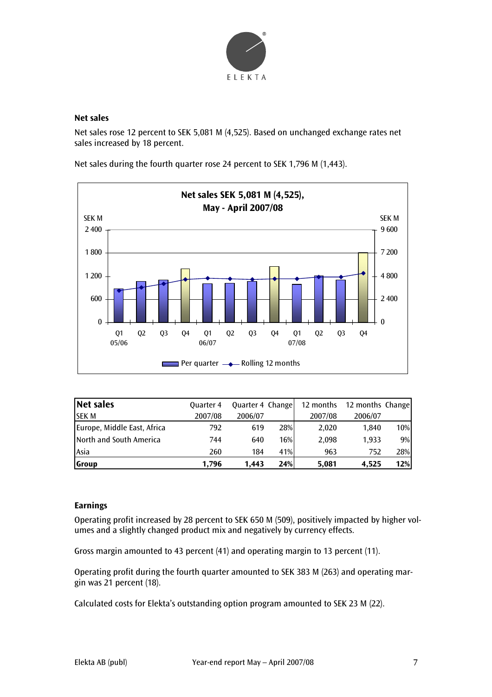

## **Net sales**

Net sales rose 12 percent to SEK 5,081 M (4,525). Based on unchanged exchange rates net sales increased by 18 percent.

Net sales during the fourth quarter rose 24 percent to SEK 1,796 M (1,443).



| Net sales                   | <b>Quarter 4</b> | Quarter 4 Change |     | 12 months | 12 months Change |     |
|-----------------------------|------------------|------------------|-----|-----------|------------------|-----|
| <b>ISEK M</b>               | 2007/08          | 2006/07          |     | 2007/08   | 2006/07          |     |
| Europe, Middle East, Africa | 792              | 619              | 28% | 2,020     | 1.840            | 10% |
| North and South America     | 744              | 640              | 16% | 2.098     | 1.933            | 9%  |
| Asia                        | 260              | 184              | 41% | 963       | 752              | 28% |
| Group                       | 1.796            | 1.443            | 24% | 5,081     | 4.525            | 12% |

# **Earnings**

Operating profit increased by 28 percent to SEK 650 M (509), positively impacted by higher volumes and a slightly changed product mix and negatively by currency effects.

Gross margin amounted to 43 percent (41) and operating margin to 13 percent (11).

Operating profit during the fourth quarter amounted to SEK 383 M (263) and operating margin was 21 percent (18).

Calculated costs for Elekta's outstanding option program amounted to SEK 23 M (22).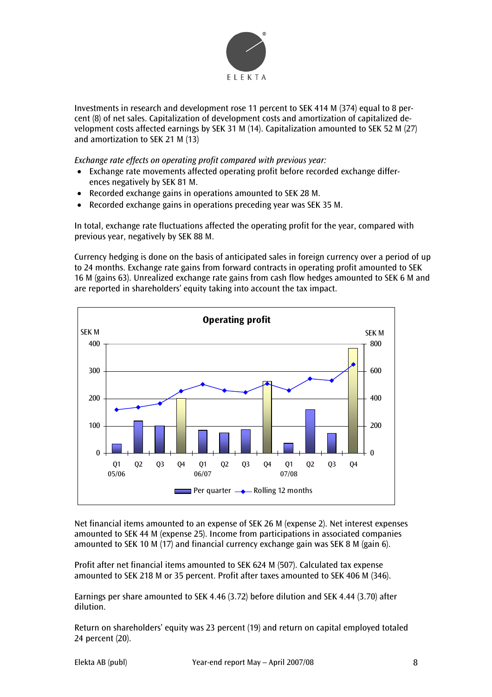

Investments in research and development rose 11 percent to SEK 414 M (374) equal to 8 percent (8) of net sales. Capitalization of development costs and amortization of capitalized development costs affected earnings by SEK 31 M (14). Capitalization amounted to SEK 52 M (27) and amortization to SEK 21 M (13)

*Exchange rate effects on operating profit compared with previous year:* 

- Exchange rate movements affected operating profit before recorded exchange differences negatively by SEK 81 M.
- Recorded exchange gains in operations amounted to SEK 28 M.
- Recorded exchange gains in operations preceding year was SEK 35 M.

In total, exchange rate fluctuations affected the operating profit for the year, compared with previous year, negatively by SEK 88 M.

Currency hedging is done on the basis of anticipated sales in foreign currency over a period of up to 24 months. Exchange rate gains from forward contracts in operating profit amounted to SEK 16 M (gains 63). Unrealized exchange rate gains from cash flow hedges amounted to SEK 6 M and are reported in shareholders' equity taking into account the tax impact.



Net financial items amounted to an expense of SEK 26 M (expense 2). Net interest expenses amounted to SEK 44 M (expense 25). Income from participations in associated companies amounted to SEK 10 M (17) and financial currency exchange gain was SEK 8 M (gain 6).

Profit after net financial items amounted to SEK 624 M (507). Calculated tax expense amounted to SEK 218 M or 35 percent. Profit after taxes amounted to SEK 406 M (346).

Earnings per share amounted to SEK 4.46 (3.72) before dilution and SEK 4.44 (3.70) after dilution.

Return on shareholders' equity was 23 percent (19) and return on capital employed totaled 24 percent (20).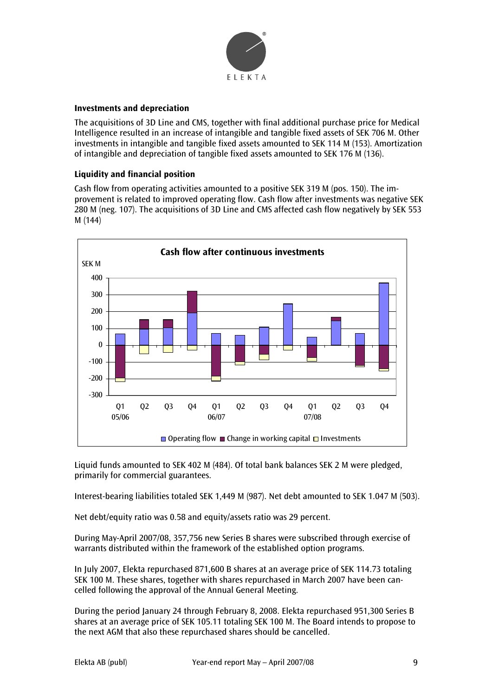

# **Investments and depreciation**

The acquisitions of 3D Line and CMS, together with final additional purchase price for Medical Intelligence resulted in an increase of intangible and tangible fixed assets of SEK 706 M. Other investments in intangible and tangible fixed assets amounted to SEK 114 M (153). Amortization of intangible and depreciation of tangible fixed assets amounted to SEK 176 M (136).

# **Liquidity and financial position**

Cash flow from operating activities amounted to a positive SEK 319 M (pos. 150). The improvement is related to improved operating flow. Cash flow after investments was negative SEK 280 M (neg. 107). The acquisitions of 3D Line and CMS affected cash flow negatively by SEK 553 M (144)



Liquid funds amounted to SEK 402 M (484). Of total bank balances SEK 2 M were pledged, primarily for commercial guarantees.

Interest-bearing liabilities totaled SEK 1,449 M (987). Net debt amounted to SEK 1.047 M (503).

Net debt/equity ratio was 0.58 and equity/assets ratio was 29 percent.

During May-April 2007/08, 357,756 new Series B shares were subscribed through exercise of warrants distributed within the framework of the established option programs.

In July 2007, Elekta repurchased 871,600 B shares at an average price of SEK 114.73 totaling SEK 100 M. These shares, together with shares repurchased in March 2007 have been cancelled following the approval of the Annual General Meeting.

During the period January 24 through February 8, 2008. Elekta repurchased 951,300 Series B shares at an average price of SEK 105.11 totaling SEK 100 M. The Board intends to propose to the next AGM that also these repurchased shares should be cancelled.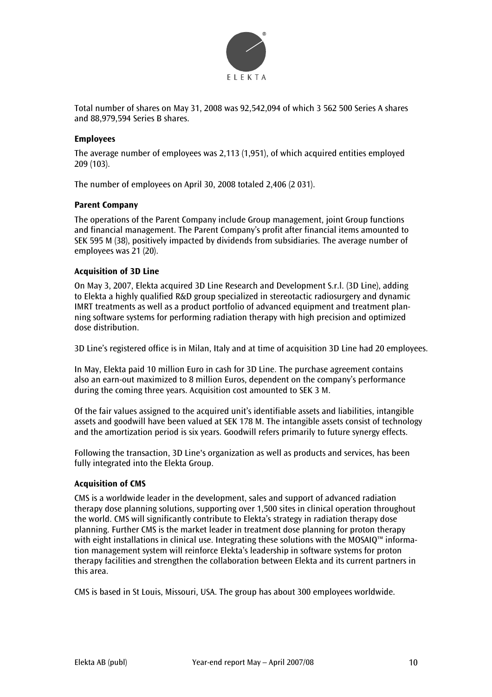

Total number of shares on May 31, 2008 was 92,542,094 of which 3 562 500 Series A shares and 88,979,594 Series B shares.

## **Employees**

The average number of employees was 2,113 (1,951), of which acquired entities employed 209 (103).

The number of employees on April 30, 2008 totaled 2,406 (2 031).

#### **Parent Company**

The operations of the Parent Company include Group management, joint Group functions and financial management. The Parent Company's profit after financial items amounted to SEK 595 M (38), positively impacted by dividends from subsidiaries. The average number of employees was 21 (20).

## **Acquisition of 3D Line**

On May 3, 2007, Elekta acquired 3D Line Research and Development S.r.l. (3D Line), adding to Elekta a highly qualified R&D group specialized in stereotactic radiosurgery and dynamic IMRT treatments as well as a product portfolio of advanced equipment and treatment planning software systems for performing radiation therapy with high precision and optimized dose distribution.

3D Line's registered office is in Milan, Italy and at time of acquisition 3D Line had 20 employees.

In May, Elekta paid 10 million Euro in cash for 3D Line. The purchase agreement contains also an earn-out maximized to 8 million Euros, dependent on the company's performance during the coming three years. Acquisition cost amounted to SEK 3 M.

Of the fair values assigned to the acquired unit's identifiable assets and liabilities, intangible assets and goodwill have been valued at SEK 178 M. The intangible assets consist of technology and the amortization period is six years. Goodwill refers primarily to future synergy effects.

Following the transaction, 3D Line's organization as well as products and services, has been fully integrated into the Elekta Group.

#### **Acquisition of CMS**

CMS is a worldwide leader in the development, sales and support of advanced radiation therapy dose planning solutions, supporting over 1,500 sites in clinical operation throughout the world. CMS will significantly contribute to Elekta's strategy in radiation therapy dose planning. Further CMS is the market leader in treatment dose planning for proton therapy with eight installations in clinical use. Integrating these solutions with the MOSAIQ™ information management system will reinforce Elekta's leadership in software systems for proton therapy facilities and strengthen the collaboration between Elekta and its current partners in this area.

CMS is based in St Louis, Missouri, USA. The group has about 300 employees worldwide.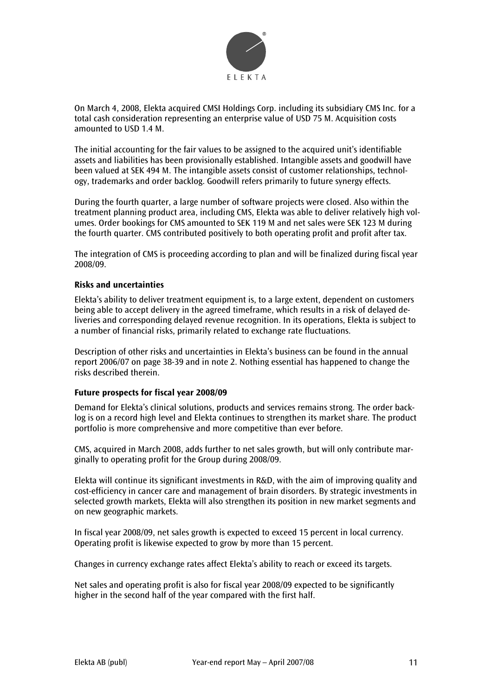

On March 4, 2008, Elekta acquired CMSI Holdings Corp. including its subsidiary CMS Inc. for a total cash consideration representing an enterprise value of USD 75 M. Acquisition costs amounted to USD 1.4 M.

The initial accounting for the fair values to be assigned to the acquired unit's identifiable assets and liabilities has been provisionally established. Intangible assets and goodwill have been valued at SEK 494 M. The intangible assets consist of customer relationships, technology, trademarks and order backlog. Goodwill refers primarily to future synergy effects.

During the fourth quarter, a large number of software projects were closed. Also within the treatment planning product area, including CMS, Elekta was able to deliver relatively high volumes. Order bookings for CMS amounted to SEK 119 M and net sales were SEK 123 M during the fourth quarter. CMS contributed positively to both operating profit and profit after tax.

The integration of CMS is proceeding according to plan and will be finalized during fiscal year 2008/09.

#### **Risks and uncertainties**

Elekta's ability to deliver treatment equipment is, to a large extent, dependent on customers being able to accept delivery in the agreed timeframe, which results in a risk of delayed deliveries and corresponding delayed revenue recognition. In its operations, Elekta is subject to a number of financial risks, primarily related to exchange rate fluctuations.

Description of other risks and uncertainties in Elekta's business can be found in the annual report 2006/07 on page 38-39 and in note 2. Nothing essential has happened to change the risks described therein.

#### **Future prospects for fiscal year 2008/09**

Demand for Elekta's clinical solutions, products and services remains strong. The order backlog is on a record high level and Elekta continues to strengthen its market share. The product portfolio is more comprehensive and more competitive than ever before.

CMS, acquired in March 2008, adds further to net sales growth, but will only contribute marginally to operating profit for the Group during 2008/09.

Elekta will continue its significant investments in R&D, with the aim of improving quality and cost-efficiency in cancer care and management of brain disorders. By strategic investments in selected growth markets, Elekta will also strengthen its position in new market segments and on new geographic markets.

In fiscal year 2008/09, net sales growth is expected to exceed 15 percent in local currency. Operating profit is likewise expected to grow by more than 15 percent.

Changes in currency exchange rates affect Elekta's ability to reach or exceed its targets.

Net sales and operating profit is also for fiscal year 2008/09 expected to be significantly higher in the second half of the year compared with the first half.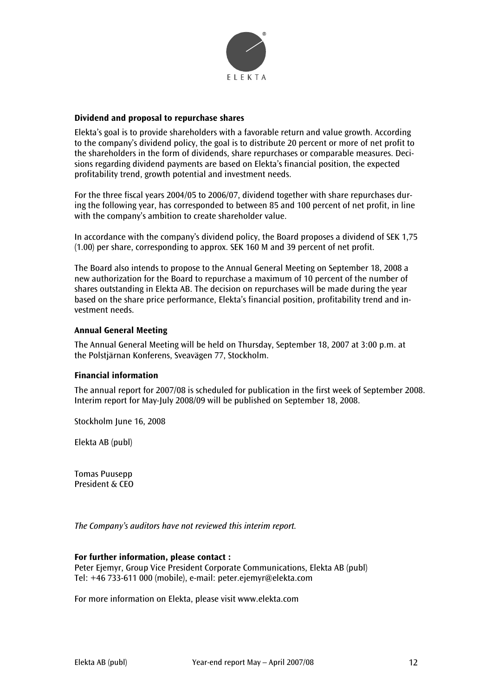

#### **Dividend and proposal to repurchase shares**

Elekta's goal is to provide shareholders with a favorable return and value growth. According to the company's dividend policy, the goal is to distribute 20 percent or more of net profit to the shareholders in the form of dividends, share repurchases or comparable measures. Decisions regarding dividend payments are based on Elekta's financial position, the expected profitability trend, growth potential and investment needs.

For the three fiscal years 2004/05 to 2006/07, dividend together with share repurchases during the following year, has corresponded to between 85 and 100 percent of net profit, in line with the company's ambition to create shareholder value.

In accordance with the company's dividend policy, the Board proposes a dividend of SEK 1,75 (1.00) per share, corresponding to approx. SEK 160 M and 39 percent of net profit.

The Board also intends to propose to the Annual General Meeting on September 18, 2008 a new authorization for the Board to repurchase a maximum of 10 percent of the number of shares outstanding in Elekta AB. The decision on repurchases will be made during the year based on the share price performance, Elekta's financial position, profitability trend and investment needs.

#### **Annual General Meeting**

The Annual General Meeting will be held on Thursday, September 18, 2007 at 3:00 p.m. at the Polstjärnan Konferens, Sveavägen 77, Stockholm.

#### **Financial information**

The annual report for 2007/08 is scheduled for publication in the first week of September 2008. Interim report for May-July 2008/09 will be published on September 18, 2008.

Stockholm June 16, 2008

Elekta AB (publ)

Tomas Puusepp President & CEO

*The Company's auditors have not reviewed this interim report.* 

#### **For further information, please contact :**

Peter Ejemyr, Group Vice President Corporate Communications, Elekta AB (publ) Tel: +46 733-611 000 (mobile), e-mail: peter.ejemyr@elekta.com

For more information on Elekta, please visit www.elekta.com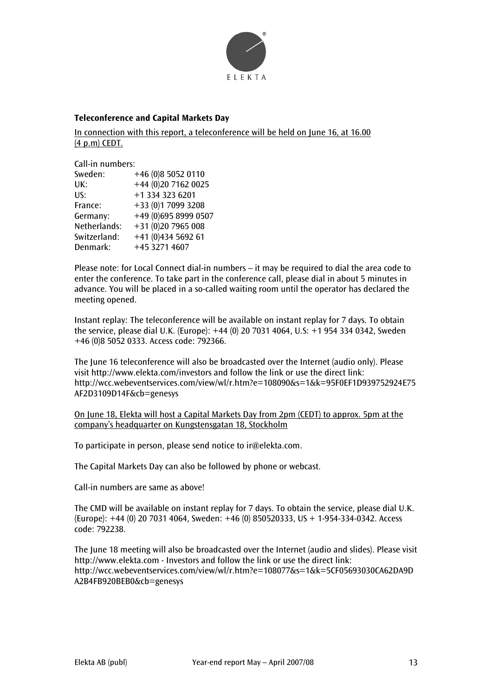

#### **Teleconference and Capital Markets Day**

In connection with this report, a teleconference will be held on June 16, at 16.00 (4 p.m) CEDT.

Call-in numbers:

| Sweden:      | +46 (0)8 5052 0110   |
|--------------|----------------------|
| UK:          | +44 (0)20 7162 0025  |
| US:          | +1 334 323 6201      |
| France:      | +33 (0)1 7099 3208   |
| Germany:     | +49 (0)695 8999 0507 |
| Netherlands: |                      |
| Switzerland: | +41 (0)434 5692 61   |
| Denmark:     | +45 3271 4607        |
|              | +31 (0)20 7965 008   |

Please note: for Local Connect dial-in numbers – it may be required to dial the area code to enter the conference. To take part in the conference call, please dial in about 5 minutes in advance. You will be placed in a so-called waiting room until the operator has declared the meeting opened.

Instant replay: The teleconference will be available on instant replay for 7 days. To obtain the service, please dial U.K. (Europe): +44 (0) 20 7031 4064, U.S: +1 954 334 0342, Sweden +46 (0)8 5052 0333. Access code: 792366.

The June 16 teleconference will also be broadcasted over the Internet (audio only). Please visit http://www.elekta.com/investors and follow the link or use the direct link: http://wcc.webeventservices.com/view/wl/r.htm?e=108090&s=1&k=95F0EF1D939752924E75 AF2D3109D14F&cb=genesys

```
On June 18, Elekta will host a Capital Markets Day from 2pm (CEDT) to approx. 5pm at the 
company's headquarter on Kungstensgatan 18, Stockholm
```
To participate in person, please send notice to ir@elekta.com.

The Capital Markets Day can also be followed by phone or webcast.

Call-in numbers are same as above!

The CMD will be available on instant replay for 7 days. To obtain the service, please dial U.K. (Europe): +44 (0) 20 7031 4064, Sweden: +46 (0) 850520333, US + 1-954-334-0342. Access code: 792238.

The June 18 meeting will also be broadcasted over the Internet (audio and slides). Please visit http://www.elekta.com - Investors and follow the link or use the direct link: http://wcc.webeventservices.com/view/wl/r.htm?e=108077&s=1&k=5CF05693030CA62DA9D A2B4FB920BEB0&cb=genesys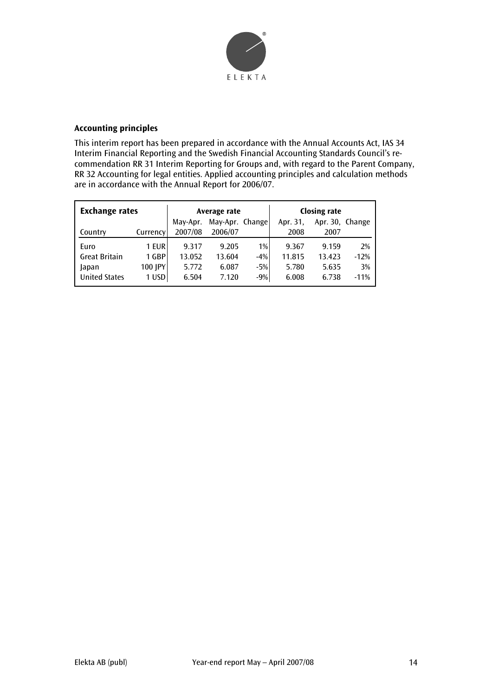

# **Accounting principles**

This interim report has been prepared in accordance with the Annual Accounts Act, IAS 34 Interim Financial Reporting and the Swedish Financial Accounting Standards Council's recommendation RR 31 Interim Reporting for Groups and, with regard to the Parent Company, RR 32 Accounting for legal entities. Applied accounting principles and calculation methods are in accordance with the Annual Report for 2006/07.

| <b>Exchange rates</b> |          | Average rate |                 |       | <b>Closing rate</b> |                 |        |
|-----------------------|----------|--------------|-----------------|-------|---------------------|-----------------|--------|
|                       |          | May-Apr.     | May-Apr. Change |       | Apr. 31,            | Apr. 30, Change |        |
| Country               | Currency | 2007/08      | 2006/07         |       | 2008                | 2007            |        |
| Euro                  | 1 EUR    | 9.317        | 9.205           | 1%    | 9.367               | 9.159           | 2%     |
| <b>Great Britain</b>  | 1 GBP    | 13.052       | 13.604          | $-4%$ | 11.815              | 13.423          | $-12%$ |
| Japan                 | 100 JPY  | 5.772        | 6.087           | $-5%$ | 5.780               | 5.635           | 3%     |
| <b>United States</b>  | 1 USD    | 6.504        | 7.120           | $-9%$ | 6.008               | 6.738           | $-11%$ |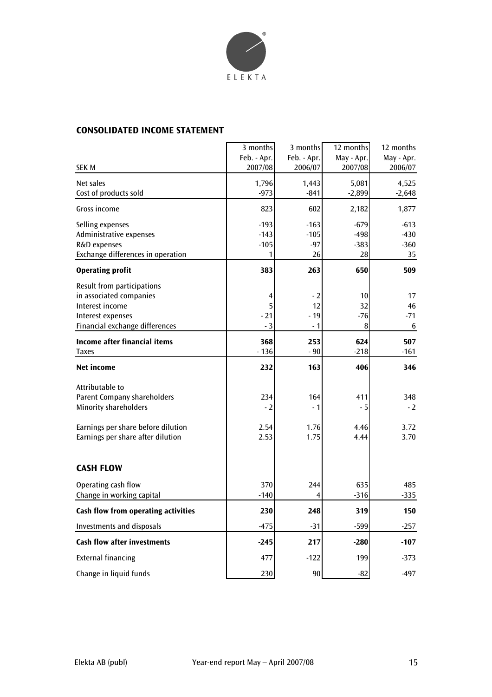

# **CONSOLIDATED INCOME STATEMENT**

|                                                                                                                                 | 3 months<br>Feb. - Apr.         | 3 months<br>Feb. - Apr.         | 12 months<br>May - Apr.          | 12 months<br>May - Apr.          |
|---------------------------------------------------------------------------------------------------------------------------------|---------------------------------|---------------------------------|----------------------------------|----------------------------------|
| <b>SEK M</b>                                                                                                                    | 2007/08                         | 2006/07                         | 2007/08                          | 2006/07                          |
| Net sales<br>Cost of products sold                                                                                              | 1,796<br>$-973$                 | 1,443<br>$-841$                 | 5,081<br>$-2,899$                | 4,525<br>$-2,648$                |
| Gross income                                                                                                                    | 823                             | 602                             | 2,182                            | 1,877                            |
| Selling expenses<br>Administrative expenses<br>R&D expenses<br>Exchange differences in operation                                | $-193$<br>$-143$<br>$-105$<br>1 | $-163$<br>$-105$<br>$-97$<br>26 | $-679$<br>$-498$<br>$-383$<br>28 | $-613$<br>$-430$<br>$-360$<br>35 |
| <b>Operating profit</b>                                                                                                         | 383                             | 263                             | 650                              | 509                              |
| Result from participations<br>in associated companies<br>Interest income<br>Interest expenses<br>Financial exchange differences | 4<br>5<br>$-21$<br>$-3$         | $-2$<br>12<br>- 19<br>- 1       | 10<br>32<br>$-76$<br>8           | 17<br>46<br>$-71$<br>6           |
| <b>Income after financial items</b><br><b>Taxes</b>                                                                             | 368<br>$-136$                   | 253<br>$-90$                    | 624<br>$-218$                    | 507<br>$-161$                    |
| <b>Net income</b>                                                                                                               | 232                             | 163                             | 406                              | 346                              |
| Attributable to<br>Parent Company shareholders<br><b>Minority shareholders</b><br>Earnings per share before dilution            | 234<br>$-2$<br>2.54             | 164<br>- 1<br>1.76              | 411<br>$-5$<br>4.46              | 348<br>$-2$<br>3.72              |
| Earnings per share after dilution                                                                                               | 2.53                            | 1.75                            | 4.44                             | 3.70                             |
| <b>CASH FLOW</b>                                                                                                                |                                 |                                 |                                  |                                  |
| Operating cash flow<br>Change in working capital                                                                                | 370<br>$-140$                   | 244<br>4                        | 635<br>$-316$                    | 485<br>$-335$                    |
| Cash flow from operating activities                                                                                             | 230                             | 248                             | 319                              | 150                              |
| <b>Investments and disposals</b>                                                                                                | $-475$                          | $-31$                           | $-599$                           | $-257$                           |
| <b>Cash flow after investments</b>                                                                                              | $-245$                          | 217                             | $-280$                           | $-107$                           |
| <b>External financing</b>                                                                                                       | 477                             | $-122$                          | 199                              | $-373$                           |
| Change in liquid funds                                                                                                          | 230                             | 90                              | $-82$                            | $-497$                           |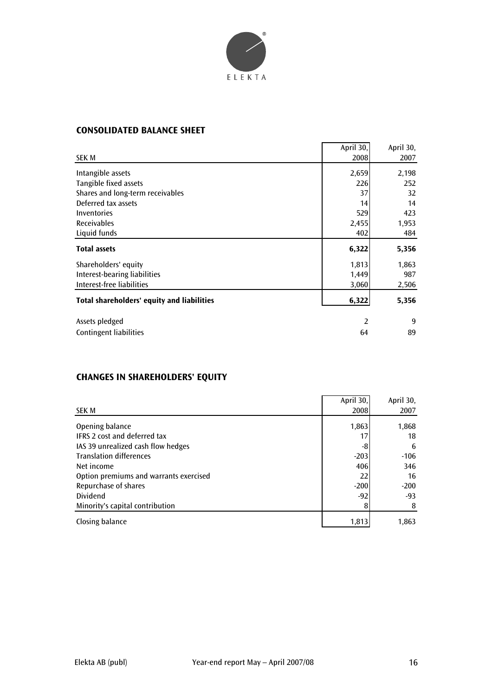

# **CONSOLIDATED BALANCE SHEET**

|                                            | April 30, | April 30, |
|--------------------------------------------|-----------|-----------|
| SEK M                                      | 2008      | 2007      |
| Intangible assets                          | 2,659     | 2,198     |
| Tangible fixed assets                      | 226       | 252       |
| Shares and long-term receivables           | 37        | 32        |
| Deferred tax assets                        | 14        | 14        |
| Inventories                                | 529       | 423       |
| <b>Receivables</b>                         | 2,455     | 1,953     |
| Liquid funds                               | 402       | 484       |
| <b>Total assets</b>                        | 6,322     | 5,356     |
| Shareholders' equity                       | 1,813     | 1,863     |
| <b>Interest-bearing liabilities</b>        | 1,449     | 987       |
| Interest-free liabilities                  | 3,060     | 2,506     |
| Total shareholders' equity and liabilities | 6,322     | 5,356     |
| Assets pledged                             | 2         | 9         |
| <b>Contingent liabilities</b>              | 64        | 89        |

# **CHANGES IN SHAREHOLDERS' EQUITY**

|                                                                           | April 30,     | April 30,     |
|---------------------------------------------------------------------------|---------------|---------------|
| <b>SEK M</b>                                                              | 2008          | 2007          |
| Opening balance                                                           | 1,863         | 1,868         |
| <b>IFRS 2 cost and deferred tax</b><br>IAS 39 unrealized cash flow hedges | 17<br>-8      | 18<br>6       |
| <b>Translation differences</b><br>Net income                              | $-203$<br>406 | $-106$<br>346 |
| Option premiums and warrants exercised<br>Repurchase of shares            | 22<br>$-200$  | 16<br>$-200$  |
| Dividend                                                                  | $-92$         | $-93$         |
| Minority's capital contribution                                           |               | 8             |
| Closing balance                                                           | 1,813         | 1,863         |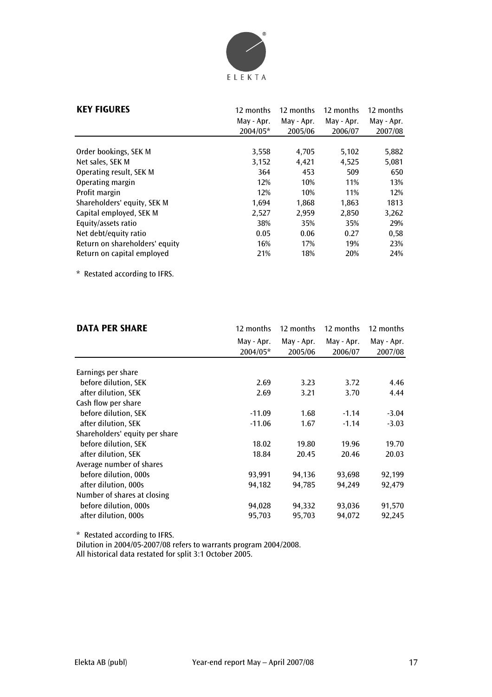

| <b>KEY FIGURES</b>             | 12 months<br>May - Apr.<br>2004/05* | 12 months<br>May - Apr.<br>2005/06 | 12 months<br>May - Apr.<br>2006/07 | 12 months<br>May - Apr.<br>2007/08 |
|--------------------------------|-------------------------------------|------------------------------------|------------------------------------|------------------------------------|
| Order bookings, SEK M          | 3,558                               | 4,705                              | 5,102                              | 5,882                              |
| Net sales, SEK M               | 3,152                               | 4,421                              | 4,525                              | 5,081                              |
| Operating result, SEK M        | 364                                 | 453                                | 509                                | 650                                |
| Operating margin               | 12%                                 | 10%                                | 11%                                | 13%                                |
| Profit margin                  | 12%                                 | 10%                                | 11%                                | 12%                                |
| Shareholders' equity, SEK M    | 1,694                               | 1,868                              | 1,863                              | 1813                               |
| Capital employed, SEK M        | 2,527                               | 2,959                              | 2.850                              | 3,262                              |
| Equity/assets ratio            | 38%                                 | 35%                                | 35%                                | 29%                                |
| Net debt/equity ratio          | 0.05                                | 0.06                               | 0.27                               | 0,58                               |
| Return on shareholders' equity | 16%                                 | 17%                                | 19%                                | 23%                                |
| Return on capital employed     | 21%                                 | 18%                                | 20%                                | 24%                                |

\* Restated according to IFRS.

| <b>DATA PER SHARE</b>          | 12 months  | 12 months  | 12 months  | 12 months  |
|--------------------------------|------------|------------|------------|------------|
|                                | May - Apr. | May - Apr. | May - Apr. | May - Apr. |
|                                | 2004/05*   | 2005/06    | 2006/07    | 2007/08    |
|                                |            |            |            |            |
| Earnings per share             |            |            |            |            |
| before dilution, SEK           | 2.69       | 3.23       | 3.72       | 4.46       |
| after dilution, SEK            | 2.69       | 3.21       | 3.70       | 4.44       |
| Cash flow per share            |            |            |            |            |
| before dilution, SEK           | $-11.09$   | 1.68       | $-1.14$    | $-3.04$    |
| after dilution, SEK            | $-11.06$   | 1.67       | $-1.14$    | $-3.03$    |
| Shareholders' equity per share |            |            |            |            |
| before dilution, SEK           | 18.02      | 19.80      | 19.96      | 19.70      |
| after dilution, SEK            | 18.84      | 20.45      | 20.46      | 20.03      |
| Average number of shares       |            |            |            |            |
| before dilution, 000s          | 93,991     | 94,136     | 93,698     | 92,199     |
| after dilution, 000s           | 94,182     | 94,785     | 94,249     | 92,479     |
| Number of shares at closing    |            |            |            |            |
| before dilution, 000s          | 94,028     | 94,332     | 93,036     | 91,570     |
| after dilution, 000s           | 95,703     | 95,703     | 94,072     | 92,245     |

\* Restated according to IFRS.

Dilution in 2004/05-2007/08 refers to warrants program 2004/2008.

All historical data restated for split 3:1 October 2005.